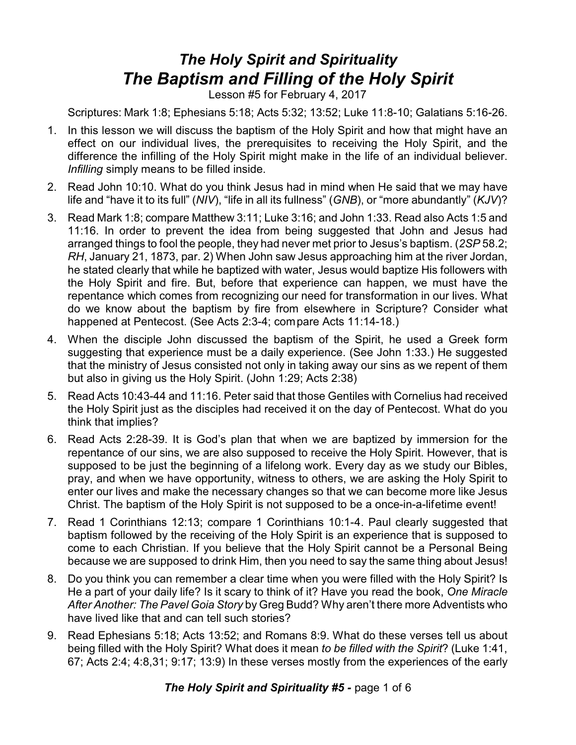## *The Holy Spirit and Spirituality The Baptism and Filling of the Holy Spirit*

Lesson #5 for February 4, 2017

Scriptures: Mark 1:8; Ephesians 5:18; Acts 5:32; 13:52; Luke 11:8-10; Galatians 5:16-26.

- 1. In this lesson we will discuss the baptism of the Holy Spirit and how that might have an effect on our individual lives, the prerequisites to receiving the Holy Spirit, and the difference the infilling of the Holy Spirit might make in the life of an individual believer. *Infilling* simply means to be filled inside.
- 2. Read John 10:10. What do you think Jesus had in mind when He said that we may have life and "have it to its full" (*NIV*), "life in all its fullness" (*GNB*), or "more abundantly" (*KJV*)?
- 3. Read Mark 1:8; compare Matthew 3:11; Luke 3:16; and John 1:33. Read also Acts 1:5 and 11:16. In order to prevent the idea from being suggested that John and Jesus had arranged things to fool the people, they had never met prior to Jesus's baptism. (*2SP* 58.2; *RH*, January 21, 1873, par. 2) When John saw Jesus approaching him at the river Jordan, he stated clearly that while he baptized with water, Jesus would baptize His followers with the Holy Spirit and fire. But, before that experience can happen, we must have the repentance which comes from recognizing our need for transformation in our lives. What do we know about the baptism by fire from elsewhere in Scripture? Consider what happened at Pentecost. (See Acts 2:3-4; compare Acts 11:14-18.)
- 4. When the disciple John discussed the baptism of the Spirit, he used a Greek form suggesting that experience must be a daily experience. (See John 1:33.) He suggested that the ministry of Jesus consisted not only in taking away our sins as we repent of them but also in giving us the Holy Spirit. (John 1:29; Acts 2:38)
- 5. Read Acts 10:43-44 and 11:16. Peter said that those Gentiles with Cornelius had received the Holy Spirit just as the disciples had received it on the day of Pentecost. What do you think that implies?
- 6. Read Acts 2:28-39. It is God's plan that when we are baptized by immersion for the repentance of our sins, we are also supposed to receive the Holy Spirit. However, that is supposed to be just the beginning of a lifelong work. Every day as we study our Bibles, pray, and when we have opportunity, witness to others, we are asking the Holy Spirit to enter our lives and make the necessary changes so that we can become more like Jesus Christ. The baptism of the Holy Spirit is not supposed to be a once-in-a-lifetime event!
- 7. Read 1 Corinthians 12:13; compare 1 Corinthians 10:1-4. Paul clearly suggested that baptism followed by the receiving of the Holy Spirit is an experience that is supposed to come to each Christian. If you believe that the Holy Spirit cannot be a Personal Being because we are supposed to drink Him, then you need to say the same thing about Jesus!
- 8. Do you think you can remember a clear time when you were filled with the Holy Spirit? Is He a part of your daily life? Is it scary to think of it? Have you read the book, *One Miracle After Another: The Pavel Goia Story* by Greg Budd? Why aren't there more Adventists who have lived like that and can tell such stories?
- 9. Read Ephesians 5:18; Acts 13:52; and Romans 8:9. What do these verses tell us about being filled with the Holy Spirit? What does it mean *to be filled with the Spirit*? (Luke 1:41, 67; Acts 2:4; 4:8,31; 9:17; 13:9) In these verses mostly from the experiences of the early

**The Holy Spirit and Spirituality #5 - page 1 of 6**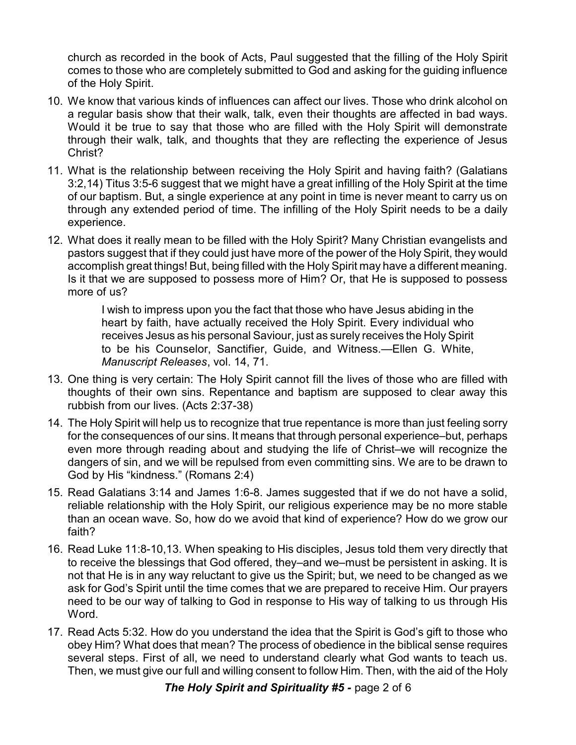church as recorded in the book of Acts, Paul suggested that the filling of the Holy Spirit comes to those who are completely submitted to God and asking for the guiding influence of the Holy Spirit.

- 10. We know that various kinds of influences can affect our lives. Those who drink alcohol on a regular basis show that their walk, talk, even their thoughts are affected in bad ways. Would it be true to say that those who are filled with the Holy Spirit will demonstrate through their walk, talk, and thoughts that they are reflecting the experience of Jesus Christ?
- 11. What is the relationship between receiving the Holy Spirit and having faith? (Galatians 3:2,14) Titus 3:5-6 suggest that we might have a great infilling of the Holy Spirit at the time of our baptism. But, a single experience at any point in time is never meant to carry us on through any extended period of time. The infilling of the Holy Spirit needs to be a daily experience.
- 12. What does it really mean to be filled with the Holy Spirit? Many Christian evangelists and pastors suggest that if they could just have more of the power of the Holy Spirit, they would accomplish great things! But, being filled with the Holy Spirit may have a different meaning. Is it that we are supposed to possess more of Him? Or, that He is supposed to possess more of us?

I wish to impress upon you the fact that those who have Jesus abiding in the heart by faith, have actually received the Holy Spirit. Every individual who receives Jesus as his personal Saviour, just as surely receives the Holy Spirit to be his Counselor, Sanctifier, Guide, and Witness.—Ellen G. White, *Manuscript Releases*, vol. 14, 71.

- 13. One thing is very certain: The Holy Spirit cannot fill the lives of those who are filled with thoughts of their own sins. Repentance and baptism are supposed to clear away this rubbish from our lives. (Acts 2:37-38)
- 14. The Holy Spirit will help us to recognize that true repentance is more than just feeling sorry for the consequences of our sins. It means that through personal experience–but, perhaps even more through reading about and studying the life of Christ–we will recognize the dangers of sin, and we will be repulsed from even committing sins. We are to be drawn to God by His "kindness." (Romans 2:4)
- 15. Read Galatians 3:14 and James 1:6-8. James suggested that if we do not have a solid, reliable relationship with the Holy Spirit, our religious experience may be no more stable than an ocean wave. So, how do we avoid that kind of experience? How do we grow our faith?
- 16. Read Luke 11:8-10,13. When speaking to His disciples, Jesus told them very directly that to receive the blessings that God offered, they–and we–must be persistent in asking. It is not that He is in any way reluctant to give us the Spirit; but, we need to be changed as we ask for God's Spirit until the time comes that we are prepared to receive Him. Our prayers need to be our way of talking to God in response to His way of talking to us through His Word.
- 17. Read Acts 5:32. How do you understand the idea that the Spirit is God's gift to those who obey Him? What does that mean? The process of obedience in the biblical sense requires several steps. First of all, we need to understand clearly what God wants to teach us. Then, we must give our full and willing consent to follow Him. Then, with the aid of the Holy

*The Holy Spirit and Spirituality #5 -* page 2 of 6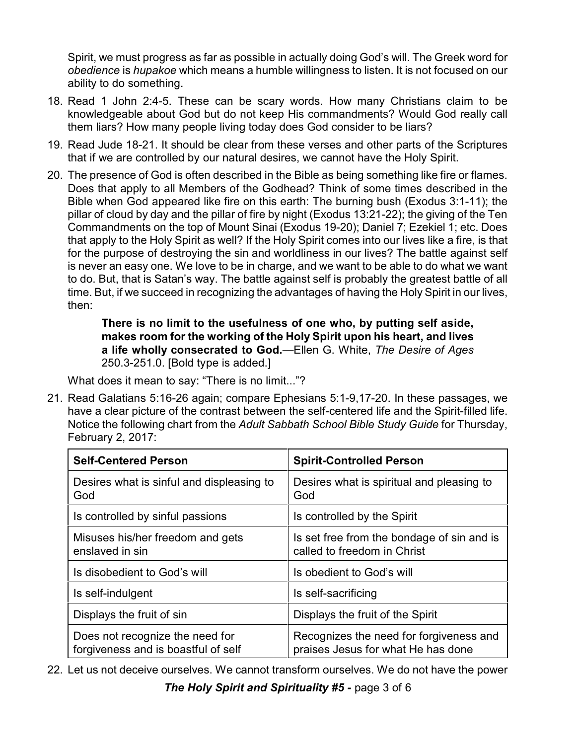Spirit, we must progress as far as possible in actually doing God's will. The Greek word for *obedience* is *hupakoe* which means a humble willingness to listen. It is not focused on our ability to do something.

- 18. Read 1 John 2:4-5. These can be scary words. How many Christians claim to be knowledgeable about God but do not keep His commandments? Would God really call them liars? How many people living today does God consider to be liars?
- 19. Read Jude 18-21. It should be clear from these verses and other parts of the Scriptures that if we are controlled by our natural desires, we cannot have the Holy Spirit.
- 20. The presence of God is often described in the Bible as being something like fire or flames. Does that apply to all Members of the Godhead? Think of some times described in the Bible when God appeared like fire on this earth: The burning bush (Exodus 3:1-11); the pillar of cloud by day and the pillar of fire by night (Exodus 13:21-22); the giving of the Ten Commandments on the top of Mount Sinai (Exodus 19-20); Daniel 7; Ezekiel 1; etc. Does that apply to the Holy Spirit as well? If the Holy Spirit comes into our lives like a fire, is that for the purpose of destroying the sin and worldliness in our lives? The battle against self is never an easy one. We love to be in charge, and we want to be able to do what we want to do. But, that is Satan's way. The battle against self is probably the greatest battle of all time. But, if we succeed in recognizing the advantages of having the Holy Spirit in our lives, then:

**There is no limit to the usefulness of one who, by putting self aside, makes room for the working of the Holy Spirit upon his heart, and lives a life wholly consecrated to God.**—Ellen G. White, *The Desire of Ages* 250.3-251.0. [Bold type is added.]

What does it mean to say: "There is no limit..."?

21. Read Galatians 5:16-26 again; compare Ephesians 5:1-9,17-20. In these passages, we have a clear picture of the contrast between the self-centered life and the Spirit-filled life. Notice the following chart from the *Adult Sabbath School Bible Study Guide* for Thursday, February 2, 2017:

| <b>Self-Centered Person</b>                                            | <b>Spirit-Controlled Person</b>                                               |
|------------------------------------------------------------------------|-------------------------------------------------------------------------------|
| Desires what is sinful and displeasing to<br>God                       | Desires what is spiritual and pleasing to<br>God                              |
| Is controlled by sinful passions                                       | Is controlled by the Spirit                                                   |
| Misuses his/her freedom and gets<br>enslaved in sin                    | Is set free from the bondage of sin and is<br>called to freedom in Christ     |
| Is disobedient to God's will                                           | Is obedient to God's will                                                     |
| Is self-indulgent                                                      | Is self-sacrificing                                                           |
| Displays the fruit of sin                                              | Displays the fruit of the Spirit                                              |
| Does not recognize the need for<br>forgiveness and is boastful of self | Recognizes the need for forgiveness and<br>praises Jesus for what He has done |

22. Let us not deceive ourselves. We cannot transform ourselves. We do not have the power

*The Holy Spirit and Spirituality #5 -* page 3 of 6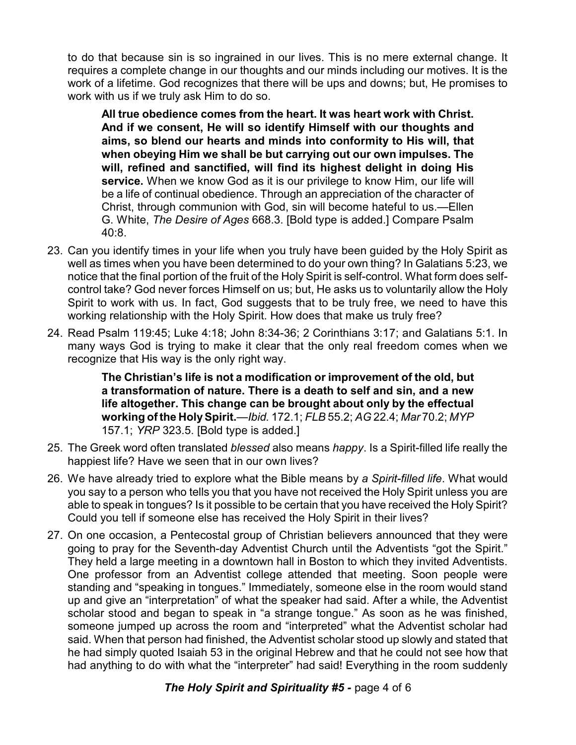to do that because sin is so ingrained in our lives. This is no mere external change. It requires a complete change in our thoughts and our minds including our motives. It is the work of a lifetime. God recognizes that there will be ups and downs; but, He promises to work with us if we truly ask Him to do so.

**All true obedience comes from the heart. It was heart work with Christ. And if we consent, He will so identify Himself with our thoughts and aims, so blend our hearts and minds into conformity to His will, that when obeying Him we shall be but carrying out our own impulses. The will, refined and sanctified, will find its highest delight in doing His service.** When we know God as it is our privilege to know Him, our life will be a life of continual obedience. Through an appreciation of the character of Christ, through communion with God, sin will become hateful to us.—Ellen G. White, *The Desire of Ages* 668.3. [Bold type is added.] Compare Psalm 40:8.

- 23. Can you identify times in your life when you truly have been guided by the Holy Spirit as well as times when you have been determined to do your own thing? In Galatians 5:23, we notice that the final portion of the fruit of the Holy Spirit is self-control. What form does selfcontrol take? God never forces Himself on us; but, He asks us to voluntarily allow the Holy Spirit to work with us. In fact, God suggests that to be truly free, we need to have this working relationship with the Holy Spirit. How does that make us truly free?
- 24. Read Psalm 119:45; Luke 4:18; John 8:34-36; 2 Corinthians 3:17; and Galatians 5:1. In many ways God is trying to make it clear that the only real freedom comes when we recognize that His way is the only right way.

**The Christian's life is not a modification or improvement of the old, but a transformation of nature. There is a death to self and sin, and a new life altogether. This change can be brought about only by the effectual working of the HolySpirit.**—*Ibid.* 172.1; *FLB* 55.2; *AG* 22.4; *Mar* 70.2; *MYP* 157.1; *YRP* 323.5. [Bold type is added.]

- 25. The Greek word often translated *blessed* also means *happy*. Is a Spirit-filled life really the happiest life? Have we seen that in our own lives?
- 26. We have already tried to explore what the Bible means by *a Spirit-filled life*. What would you say to a person who tells you that you have not received the Holy Spirit unless you are able to speak in tongues? Is it possible to be certain that you have received the Holy Spirit? Could you tell if someone else has received the Holy Spirit in their lives?
- 27. On one occasion, a Pentecostal group of Christian believers announced that they were going to pray for the Seventh-day Adventist Church until the Adventists "got the Spirit." They held a large meeting in a downtown hall in Boston to which they invited Adventists. One professor from an Adventist college attended that meeting. Soon people were standing and "speaking in tongues." Immediately, someone else in the room would stand up and give an "interpretation" of what the speaker had said. After a while, the Adventist scholar stood and began to speak in "a strange tongue." As soon as he was finished, someone jumped up across the room and "interpreted" what the Adventist scholar had said. When that person had finished, the Adventist scholar stood up slowly and stated that he had simply quoted Isaiah 53 in the original Hebrew and that he could not see how that had anything to do with what the "interpreter" had said! Everything in the room suddenly

## **The Holy Spirit and Spirituality #5 - page 4 of 6**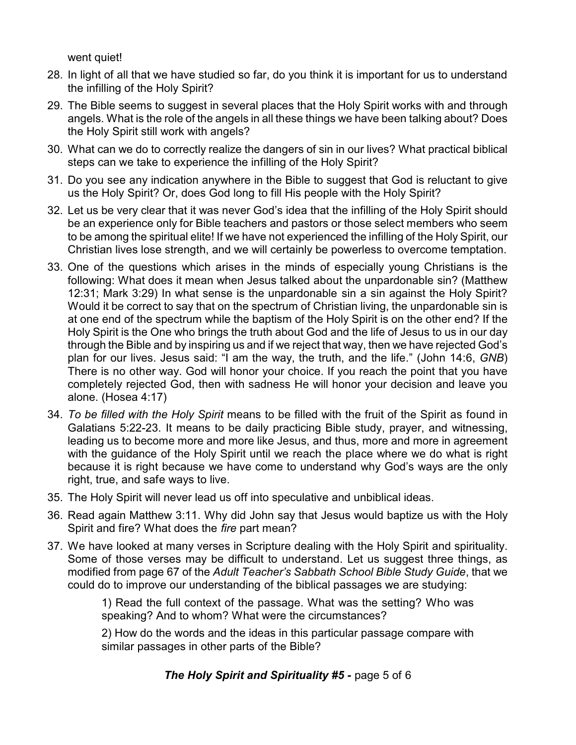went quiet!

- 28. In light of all that we have studied so far, do you think it is important for us to understand the infilling of the Holy Spirit?
- 29. The Bible seems to suggest in several places that the Holy Spirit works with and through angels. What is the role of the angels in all these things we have been talking about? Does the Holy Spirit still work with angels?
- 30. What can we do to correctly realize the dangers of sin in our lives? What practical biblical steps can we take to experience the infilling of the Holy Spirit?
- 31. Do you see any indication anywhere in the Bible to suggest that God is reluctant to give us the Holy Spirit? Or, does God long to fill His people with the Holy Spirit?
- 32. Let us be very clear that it was never God's idea that the infilling of the Holy Spirit should be an experience only for Bible teachers and pastors or those select members who seem to be among the spiritual elite! If we have not experienced the infilling of the Holy Spirit, our Christian lives lose strength, and we will certainly be powerless to overcome temptation.
- 33. One of the questions which arises in the minds of especially young Christians is the following: What does it mean when Jesus talked about the unpardonable sin? (Matthew 12:31; Mark 3:29) In what sense is the unpardonable sin a sin against the Holy Spirit? Would it be correct to say that on the spectrum of Christian living, the unpardonable sin is at one end of the spectrum while the baptism of the Holy Spirit is on the other end? If the Holy Spirit is the One who brings the truth about God and the life of Jesus to us in our day through the Bible and by inspiring us and if we reject that way, then we have rejected God's plan for our lives. Jesus said: "I am the way, the truth, and the life." (John 14:6, *GNB*) There is no other way. God will honor your choice. If you reach the point that you have completely rejected God, then with sadness He will honor your decision and leave you alone. (Hosea 4:17)
- 34. *To be filled with the Holy Spirit* means to be filled with the fruit of the Spirit as found in Galatians 5:22-23. It means to be daily practicing Bible study, prayer, and witnessing, leading us to become more and more like Jesus, and thus, more and more in agreement with the guidance of the Holy Spirit until we reach the place where we do what is right because it is right because we have come to understand why God's ways are the only right, true, and safe ways to live.
- 35. The Holy Spirit will never lead us off into speculative and unbiblical ideas.
- 36. Read again Matthew 3:11. Why did John say that Jesus would baptize us with the Holy Spirit and fire? What does the *fire* part mean?
- 37. We have looked at many verses in Scripture dealing with the Holy Spirit and spirituality. Some of those verses may be difficult to understand. Let us suggest three things, as modified from page 67 of the *Adult Teacher's Sabbath School Bible Study Guide*, that we could do to improve our understanding of the biblical passages we are studying:

1) Read the full context of the passage. What was the setting? Who was speaking? And to whom? What were the circumstances?

2) How do the words and the ideas in this particular passage compare with similar passages in other parts of the Bible?

*The Holy Spirit and Spirituality #5 -* page 5 of 6